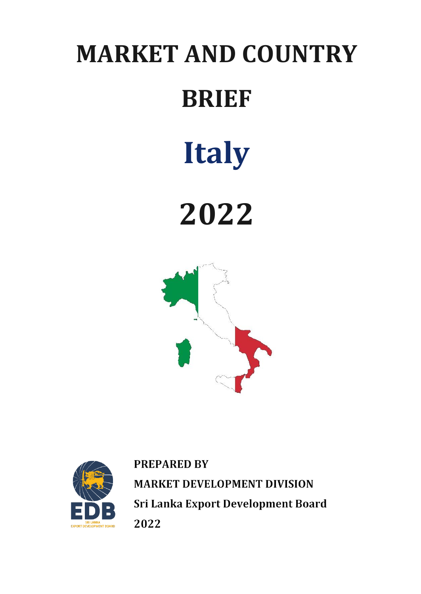# **MARKET AND COUNTRY BRIEF Italy**

**2022**





**PREPARED BY MARKET DEVELOPMENT DIVISION** Sri Lanka Export Development Board 2022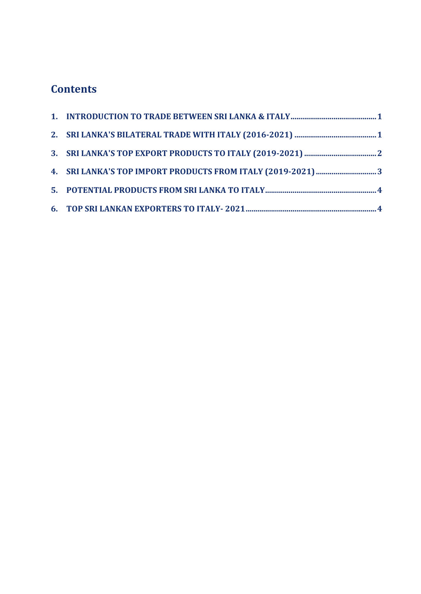## **Contents**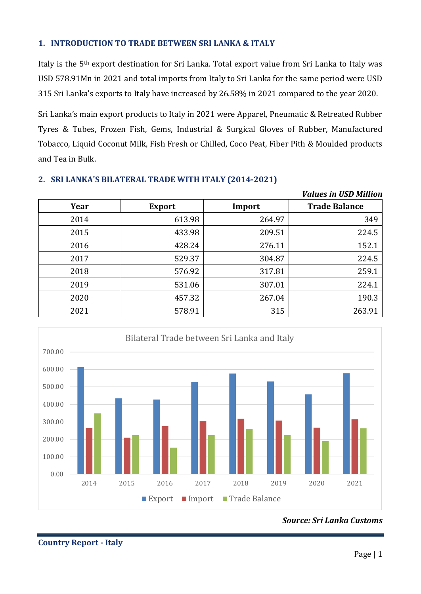#### <span id="page-2-0"></span>**1. INTRODUCTION TO TRADE BETWEEN SRI LANKA & ITALY**

Italy is the 5th export destination for Sri Lanka. Total export value from Sri Lanka to Italy was USD 578.91Mn in 2021 and total imports from Italy to Sri Lanka for the same period were USD 315 Sri Lanka's exports to Italy have increased by 26.58% in 2021 compared to the year 2020.

Sri Lanka's main export products to Italy in 2021 were Apparel, Pneumatic & Retreated Rubber Tyres & Tubes, Frozen Fish, Gems, Industrial & Surgical Gloves of Rubber, Manufactured Tobacco, Liquid Coconut Milk, Fish Fresh or Chilled, Coco Peat, Fiber Pith & Moulded products and Tea in Bulk.

|      |               |        | <b>Values in USD Million</b> |
|------|---------------|--------|------------------------------|
| Year | <b>Export</b> | Import | <b>Trade Balance</b>         |
| 2014 | 613.98        | 264.97 | 349                          |
| 2015 | 433.98        | 209.51 | 224.5                        |
| 2016 | 428.24        | 276.11 | 152.1                        |
| 2017 | 529.37        | 304.87 | 224.5                        |
| 2018 | 576.92        | 317.81 | 259.1                        |
| 2019 | 531.06        | 307.01 | 224.1                        |
| 2020 | 457.32        | 267.04 | 190.3                        |
| 2021 | 578.91        | 315    | 263.91                       |

#### <span id="page-2-1"></span>**2. SRI LANKA'S BILATERAL TRADE WITH ITALY (2014-2021)**



*Source: Sri Lanka Customs*

**Country Report - Italy**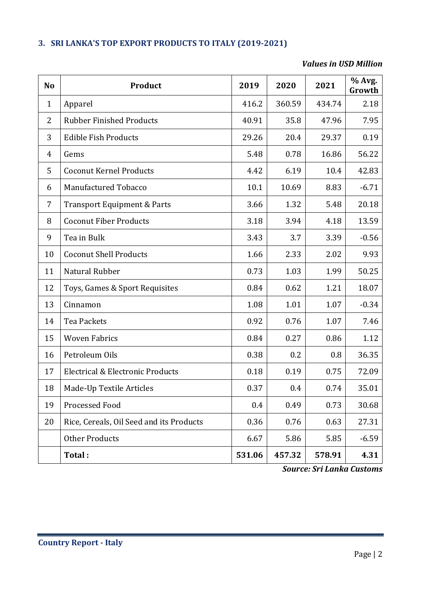#### <span id="page-3-0"></span>**3. SRI LANKA'S TOP EXPORT PRODUCTS TO ITALY (2019-2021)**

#### *Values in USD Million*

| N <sub>o</sub> | Product                                  | 2019   | 2020   | 2021   | % Avg.<br>Growth |
|----------------|------------------------------------------|--------|--------|--------|------------------|
| $\mathbf{1}$   | Apparel                                  | 416.2  | 360.59 | 434.74 | 2.18             |
| 2              | <b>Rubber Finished Products</b>          | 40.91  | 35.8   | 47.96  | 7.95             |
| 3              | <b>Edible Fish Products</b>              | 29.26  | 20.4   | 29.37  | 0.19             |
| $\overline{4}$ | Gems                                     | 5.48   | 0.78   | 16.86  | 56.22            |
| 5              | <b>Coconut Kernel Products</b>           | 4.42   | 6.19   | 10.4   | 42.83            |
| 6              | Manufactured Tobacco                     | 10.1   | 10.69  | 8.83   | $-6.71$          |
| 7              | <b>Transport Equipment &amp; Parts</b>   | 3.66   | 1.32   | 5.48   | 20.18            |
| 8              | <b>Coconut Fiber Products</b>            | 3.18   | 3.94   | 4.18   | 13.59            |
| 9              | Tea in Bulk                              | 3.43   | 3.7    | 3.39   | $-0.56$          |
| 10             | <b>Coconut Shell Products</b>            | 1.66   | 2.33   | 2.02   | 9.93             |
| 11             | Natural Rubber                           | 0.73   | 1.03   | 1.99   | 50.25            |
| 12             | Toys, Games & Sport Requisites           | 0.84   | 0.62   | 1.21   | 18.07            |
| 13             | Cinnamon                                 | 1.08   | 1.01   | 1.07   | $-0.34$          |
| 14             | <b>Tea Packets</b>                       | 0.92   | 0.76   | 1.07   | 7.46             |
| 15             | <b>Woven Fabrics</b>                     | 0.84   | 0.27   | 0.86   | 1.12             |
| 16             | Petroleum Oils                           | 0.38   | 0.2    | 0.8    | 36.35            |
| 17             | Electrical & Electronic Products         | 0.18   | 0.19   | 0.75   | 72.09            |
| 18             | Made-Up Textile Articles                 | 0.37   | 0.4    | 0.74   | 35.01            |
| 19             | Processed Food                           | 0.4    | 0.49   | 0.73   | 30.68            |
| 20             | Rice, Cereals, Oil Seed and its Products | 0.36   | 0.76   | 0.63   | 27.31            |
|                | <b>Other Products</b>                    | 6.67   | 5.86   | 5.85   | $-6.59$          |
|                | Total:                                   | 531.06 | 457.32 | 578.91 | 4.31             |

*Source: Sri Lanka Customs*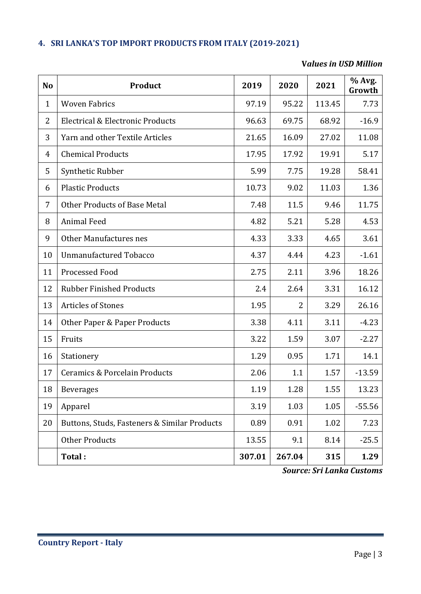### <span id="page-4-0"></span>**4. SRI LANKA'S TOP IMPORT PRODUCTS FROM ITALY (2019-2021)**

#### **V***alues in USD Million*

| <b>No</b>      | <b>Product</b>                               | 2019   | 2020           | 2021   | % Avg.<br>Growth |
|----------------|----------------------------------------------|--------|----------------|--------|------------------|
| $\mathbf{1}$   | <b>Woven Fabrics</b>                         | 97.19  | 95.22          | 113.45 | 7.73             |
| 2              | Electrical & Electronic Products             | 96.63  | 69.75          | 68.92  | $-16.9$          |
| 3              | Yarn and other Textile Articles              | 21.65  | 16.09          | 27.02  | 11.08            |
| $\overline{4}$ | <b>Chemical Products</b>                     | 17.95  | 17.92          | 19.91  | 5.17             |
| 5              | Synthetic Rubber                             | 5.99   | 7.75           | 19.28  | 58.41            |
| 6              | <b>Plastic Products</b>                      | 10.73  | 9.02           | 11.03  | 1.36             |
| 7              | <b>Other Products of Base Metal</b>          | 7.48   | 11.5           | 9.46   | 11.75            |
| 8              | <b>Animal Feed</b>                           | 4.82   | 5.21           | 5.28   | 4.53             |
| 9              | Other Manufactures nes                       | 4.33   | 3.33           | 4.65   | 3.61             |
| 10             | <b>Unmanufactured Tobacco</b>                | 4.37   | 4.44           | 4.23   | $-1.61$          |
| 11             | Processed Food                               | 2.75   | 2.11           | 3.96   | 18.26            |
| 12             | <b>Rubber Finished Products</b>              | 2.4    | 2.64           | 3.31   | 16.12            |
| 13             | <b>Articles of Stones</b>                    | 1.95   | $\overline{2}$ | 3.29   | 26.16            |
| 14             | Other Paper & Paper Products                 | 3.38   | 4.11           | 3.11   | $-4.23$          |
| 15             | Fruits                                       | 3.22   | 1.59           | 3.07   | $-2.27$          |
| 16             | Stationery                                   | 1.29   | 0.95           | 1.71   | 14.1             |
| 17             | <b>Ceramics &amp; Porcelain Products</b>     | 2.06   | 1.1            | 1.57   | $-13.59$         |
| 18             | <b>Beverages</b>                             | 1.19   | 1.28           | 1.55   | 13.23            |
| 19             | Apparel                                      | 3.19   | 1.03           | 1.05   | $-55.56$         |
| 20             | Buttons, Studs, Fasteners & Similar Products | 0.89   | 0.91           | 1.02   | 7.23             |
|                | <b>Other Products</b>                        | 13.55  | 9.1            | 8.14   | $-25.5$          |
|                | Total:                                       | 307.01 | 267.04         | 315    | 1.29             |

*Source: Sri Lanka Customs*